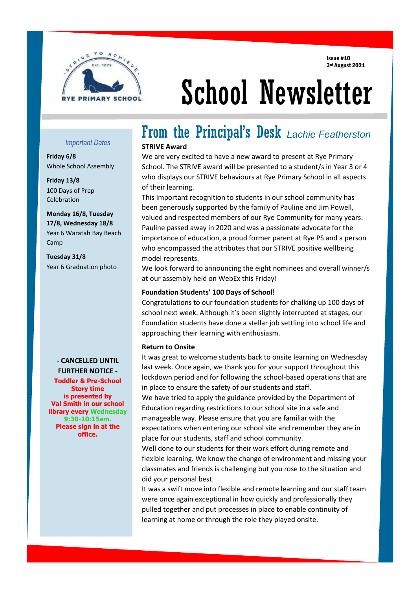Issue #10 3rd August 2021



# School Newsletter

#### *Important Dates*

**Friday 6/8** Whole School Assembly

**Friday 13/8** 100 Days of Prep Celebration

**Monday 16/8, Tuesday 17/8, Wednesday 18/8** Year 6 Waratah Bay Beach Camp

**Tuesday 31/8** Year 6 Graduation photo

> **- CANCELLED UNTIL FURTHER NOTICE -**

**Toddler & Pre-School Story time is presented by Val Smith in our school library every Wednesday 9:30-10:15am. Please sign in at the office.**

í

# From the Principal's Desk *Lachie Featherston*

#### **STRIVE Award**

We are very excited to have a new award to present at Rye Primary School. The STRIVE award will be presented to a student/s in Year 3 or 4 who displays our STRIVE behaviours at Rye Primary School in all aspects of their learning.

This important recognition to students in our school community has been generously supported by the family of Pauline and Jim Powell, valued and respected members of our Rye Community for many years. Pauline passed away in 2020 and was a passionate advocate for the importance of education, a proud former parent at Rye PS and a person who encompassed the attributes that our STRIVE positive wellbeing model represents.

We look forward to announcing the eight nominees and overall winner/s at our assembly held on WebEx this Friday!

#### **Foundation Students' 100 Days of School!**

Congratulations to our foundation students for chalking up 100 days of school next week. Although it's been slightly interrupted at stages, our Foundation students have done a stellar job settling into school life and approaching their learning with enthusiasm.

#### **Return to Onsite**

It was great to welcome students back to onsite learning on Wednesday last week. Once again, we thank you for your support throughout this lockdown period and for following the school-based operations that are in place to ensure the safety of our students and staff.

We have tried to apply the guidance provided by the Department of Education regarding restrictions to our school site in a safe and manageable way. Please ensure that you are familiar with the expectations when entering our school site and remember they are in place for our students, staff and school community.

Well done to our students for their work effort during remote and flexible learning. We know the change of environment and missing your classmates and friends is challenging but you rose to the situation and did your personal best.

It was a swift move into flexible and remote learning and our staff team were once again exceptional in how quickly and professionally they pulled together and put processes in place to enable continuity of learning at home or through the role they played onsite.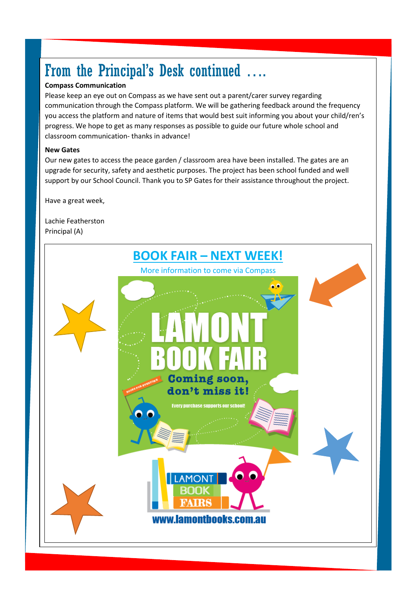## From the Principal's Desk continued ….

#### **Compass Communication**

Please keep an eye out on Compass as we have sent out a parent/carer survey regarding communication through the Compass platform. We will be gathering feedback around the frequency you access the platform and nature of items that would best suit informing you about your child/ren's progress. We hope to get as many responses as possible to guide our future whole school and classroom communication- thanks in advance!

#### **New Gates**

Our new gates to access the peace garden / classroom area have been installed. The gates are an upgrade for security, safety and aesthetic purposes. The project has been school funded and well support by our School Council. Thank you to SP Gates for their assistance throughout the project.

Have a great week,

Lachie Featherston Principal (A)

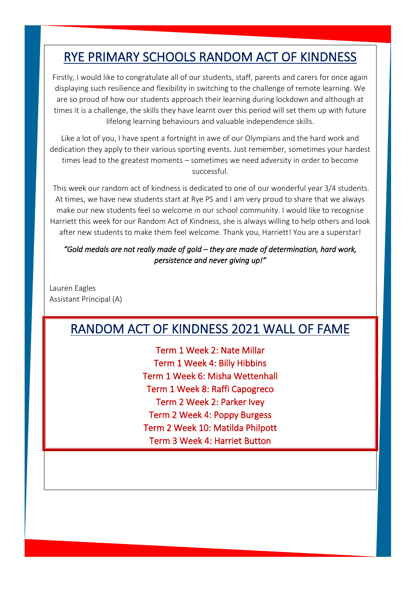### RYE PRIMARY SCHOOLS RANDOM ACT OF KINDNESS

Firstly, I would like to congratulate all of our students, staff, parents and carers for once again displaying such resilience and flexibility in switching to the challenge of remote learning. We are so proud of how our students approach their learning during lockdown and although at times it is a challenge, the skills they have learnt over this period will set them up with future lifelong learning behaviours and valuable independence skills.

Like a lot of you, I have spent a fortnight in awe of our Olympians and the hard work and dedication they apply to their various sporting events. Just remember, sometimes your hardest times lead to the greatest moments – sometimes we need adversity in order to become successful.

This week our random act of kindness is dedicated to one of our wonderful year 3/4 students. At times, we have new students start at Rye PS and I am very proud to share that we always make our new students feel so welcome in our school community. I would like to recognise Harriett this week for our Random Act of Kindness, she is always willing to help others and look after new students to make them feel welcome. Thank you, Harriett! You are a superstar!

*"Gold medals are not really made of gold – they are made of determination, hard work, persistence and never giving up!"* 

Lauren Eagles Assistant Principal (A)

### RANDOM ACT OF KINDNESS 2021 WALL OF FAME

Term 1 Week 2: Nate Millar Term 1 Week 4: Billy Hibbins Term 1 Week 6: Misha Wettenhall Term 1 Week 8: Raffi Capogreco Term 2 Week 2: Parker Ivey Term 2 Week 4: Poppy Burgess Term 2 Week 10: Matilda Philpott Term 3 Week 4: Harriet Button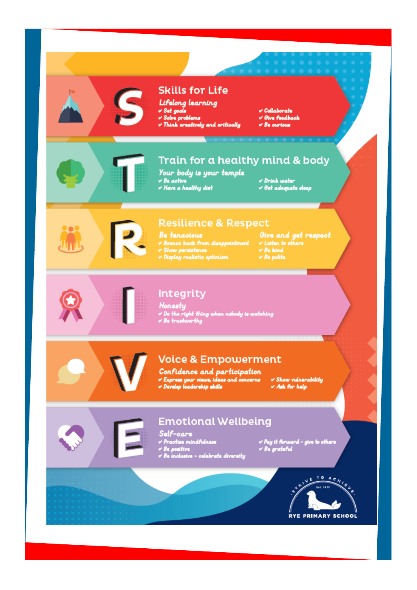